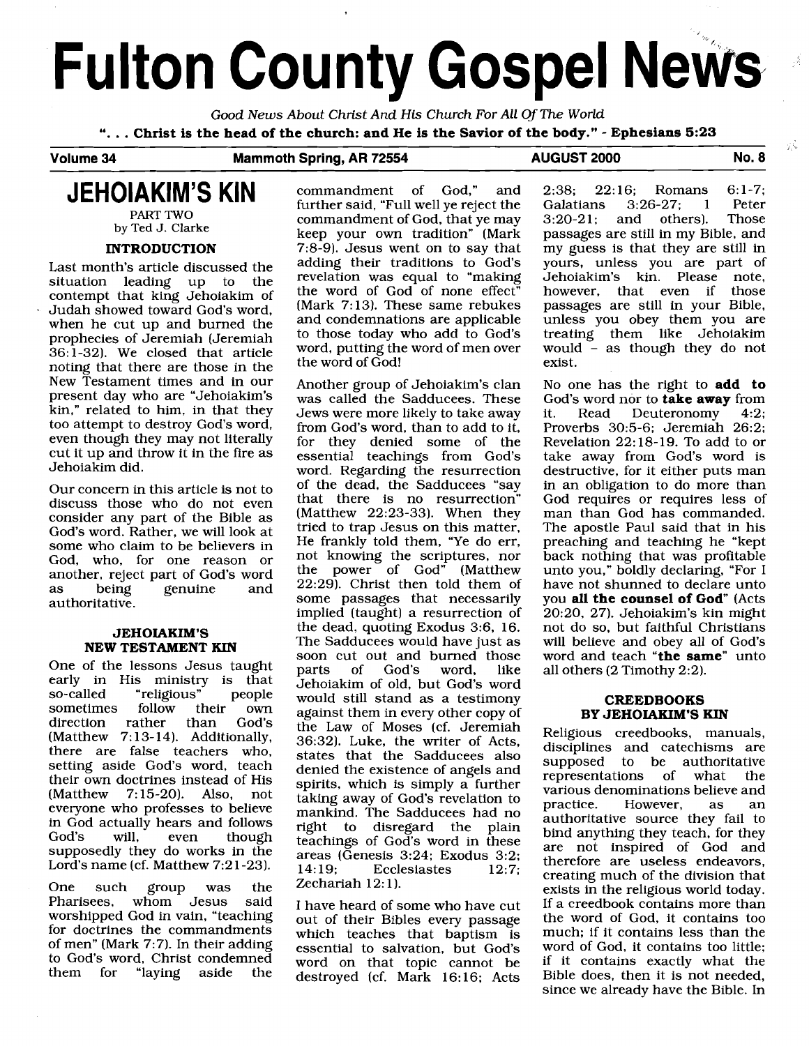## **Fulton County Gospel News**

Good **News** About Christ And **His** Church For All Of **The** World "... Christ is the head of the church: and He is the Savior of the body." - Ephesians 5:23<br>Volume 34 Mammoth Spring, AR 72554 AUGUST 2000

### **Mammoth Spring, AR 72554 AUGUST 2000 No. 8**

### **JEHOIAKIM'S KIN**

**PART TWO by Ted J. Clarke** 

### **INTRODUCTION**

Last month's article discussed the situation leading up to the contempt that king Jehoiakim of Judah showed toward God's word, when he cut up and burned the prophecies of Jeremiah (Jeremiah 36: 1-32). We closed that article noting that there are those in the New Testament times and in our present day who are "Jehoiakim's kin," related to him, in that they too attempt to destroy God's word, even though they may not literally cut it up and throw it in the fire as Jehoiakim did.

Our concern in this article is not to discuss those who do not even consider any part of the Bible as God's word. Rather, we will look at some who claim to be believers in God, who, for one reason or another, reject part of God's word as being genuine and authoritative.

### **JEHOIAKIM'S NEW TESTAMENT KIN**

One of the lessons Jesus taught early in His ministry is that<br>so-called "religious" people "religious" people<br>follow their own sometimes follow their own<br>direction rather than God's direction rather (Matthew 7:13-14). Additionally, there are false teachers who, setting aside God's word, teach their own doctrines instead of His (Matthew 7: 15-20). Also, not everyone who professes to believe in God actually hears and follows God's will, even though supposedly they do works in the Lord's name (cf. Matthew 7:21-23).

One such group was the<br>Pharisees, whom Jesus said Pharisees, whom Jesus worshipped God in vain, "teaching for doctrines the commandments of men" (Mark 7:7). In their adding to God's word, Christ condemned them for "laying aside the commandment of God," and further said, "Full well ye reject the commandment of God, that ye may keep your own tradition" (Mark 7:8-9). Jesus went on to say that adding their traditions to God's revelation was equal to "making the word of God of none effect" (Mark 7:13). These same rebukes and condemnations are applicable to those today who add to God's word, putting the word of men over the word of God!

Another group of Jehoiakim's clan was called the Sadducees. These Jews were more likely to take away from God's word, than to add to it,<br>for they denied some of the they denied some of the essential teachings from God's word. Regarding the resurrection of the dead, the Sadducees "say that there is no resurrection" (Matthew 22:23-33). When they tried to trap Jesus on this matter. He frankly told them, "Ye do err, not knowing the scriptures, nor the power of God" (Matthew 22:29). Christ then told them of some passages that necessarily implied (taught) a resurrection of the dead, quoting Exodus 3:6, 16. The Sadducees would have just as soon cut out and burned those<br>parts of God's word, like of God's Jehoiakim of old, but God's word would still stand as a testimony against them in every other copy of the Law of Moses (cf. Jeremiah 36:32). Luke, the writer of Acts, states that the Sadducees also denied the existence of angels and spirits, which is simply a further taking away of God's revelation to mankind. The Sadducees had no<br>right to disregard the plain to disregard the plain teachings of God's word in these areas (Genesis 3:24; Exodus 3:2;<br>14:19: Ecclesiastes 12:7: **Ecclesiastes** Zechariah 12:1).

I have heard of some who have cut out of their Bibles every passage which teaches that baptism is essential to salvation, but God's word on that topic cannot be destroyed (cf. Mark 16:16; Acts

2:38; 22:16; Romans 6:1-7;<br>Galatians 3:26-27; 1 Peter Galatians 3:26-27; 1 Peter<br>3:20-21; and others). Those and others). passages are still in my Bible, and my guess is that they are still in yours, unless you are part of Jehoiakim's kin. Please note, however, that even if passages are still in your Bible, unless you obey them you are treating them like Jehoiakim would - as though they do not exist.

χů

No one has the right to **add to**  God's word nor to **take away** from<br>it. Read Deuteronomy 4:2: Deuteronomy Proverbs 30:5-6; Jeremiah 26:2; Revelation 22: 18-19. To add to or take away from God's word is destructive, for it either puts man in an obligation to do more than God requires or requires less of man than God has commanded. The apostle Paul said that in his preaching and teaching he "kept back nothing that was profitable unto you," boldly declaring, "For I have not shunned to declare unto you all the counsel of God" (Acts 20:20, 27). Jehoiakim's kin might not do so, but faithful Christians will believe and obey all of God's word and teach **"the same"** unto all others (2 Timothy 2:2).

### **CREEDBOOKS BY JEHOIAKIM'S KIN**

Religious creedbooks, manuals, disciplines and catechisms are supposed to be authoritative<br>representations of what the representations of various denominations believe and<br>practice. However, as an However, as an authoritative source they fail to bind anything they teach, for they are not inspired of God and therefore are useless endeavors, creating much of the division that exists in the religious world today. If a creedbook contains more than the word of God, it contains too much; if it contains less than the word of God, it contains too little; if it contains exactly what the Bible does, then it is not needed, since we already have the Bible. In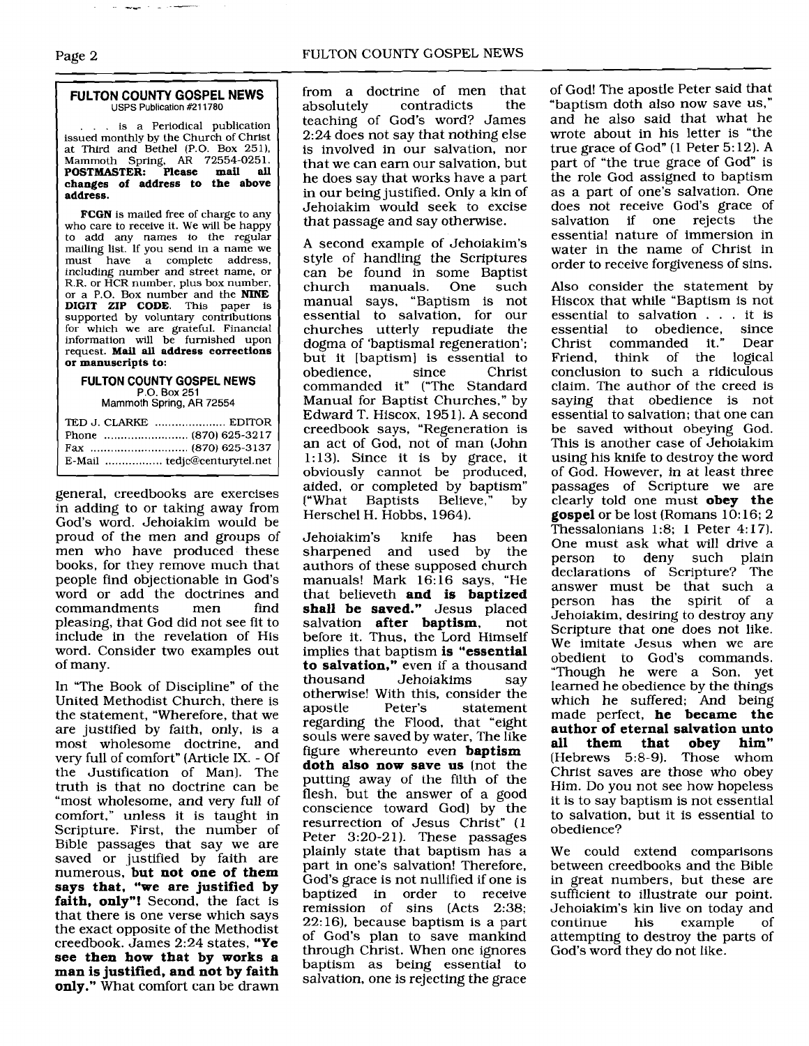### **FULTON COUNTY GOSPEL NEWS**  USPS Publication #211780

... is a Periodical publication issued monthly by the Church of Christ at Third and Bethel (P.O. Box 251). Mammoth Spring, **AR** 72554-0251. **POSTMASTER: Please mail all changes of address to the above address.** 

**FCGN** is mailed free of charge to any who care to receive it. We will be happy to add any names to the regular mailing list. If you send in a name we must have a complete address, including number and street name, or R.R. or HCR number, plus box number, or a P.O. Box number and the **NINE DIGIT ZIP CODE.** This paper is supported by voluntary contributions for which we are grateful. Financial information will be furnished upon request. **Mail all address corrections or manuscripts to:** 

### **FULTON COUNTY GOSPEL NEWS**  P.O. Box **251**

Mammoth **Spring, AR 72554** 

general, creedbooks are exercises in adding to or taking away from God's word. Jehoiakim would be proud of the men and groups of men who have produced these books, for they remove much that people find objectionable in God's word or add the doctrines and<br>commandments men find commandments pleasing, that God did not see fit to include in the revelation of His word. Consider two examples out of many.

In "The Book of Discipline" of the United Methodist Church, there is the statement, "Wherefore, that we are justified by faith, only, is a most wholesome doctrine, and very full of comfort" (Article IX. - Of the Justification of Man]. The truth is that no doctrine can be "most wholesome, and very full of comfort," unless it is taught in Scripture. First, the number of Bible passages that say we are saved or justified by faith are numerous, **but not one of them says that. "we are justified by faith, only"!** Second, the fact is that there is one verse which says the exact opposite of the Methodist creedbook. James 2:24 states, **"Ye see then how that by works a man is justified, and not by faith only."** What comfort can be drawn

from a doctrine of men that<br>absolutely contradicts the contradicts teaching of God's word? James 2:24 does not say that nothing else is involved in our salvation, nor that we can earn our salvation, but he does say that works have a part in our being justified. Only a kin of Jehoiakim would seek to excise that passage and say otherwise.

A second example of Jehoiakim's style of handling the Scriptures can be found in some Baptist manuals. manual says, "Baptism is not essential to salvation, for our churches utterly repudiate the dogma of 'baptismal regeneration'; but it [baptism] is essential to<br>obedience. since Christ obedience, since Christ commanded it" ("The Standard Manual for Baptist Churches," by Edward T. Hiscox, 1951). A second creedbook says, "Regeneration is an act of God, not of man (John 1:13). Since it is by grace, it obviously cannot be produced, aided, or completed by baptism"<br>"What Baptists Believe." by f What Baptists Herschel H. Hobbs, 1964).

Jehoiakim's knife has been sharpened and used by the authors of these supposed church manuals! Mark 16:16 says, "He that believeth **and is baptized**  shall be saved." Jesus placed salvation after baptism, not salvation **after baptism**, before it. Thus, the Lord Himself implies that baptism **is "essential to salvation,"** even if a thousand<br>thousand Jehoiakims say Jehoiakims otherwise! With this, consider the<br>apostle Peter's statement statement regarding the Flood, that "eight souls were saved by water, The like figure whereunto even **baptism doth also now save us** [not the putting away of the filth of the flesh, but the answer of a good conscience toward God) by the resurrection of Jesus Christ" (1 Peter 3:20-21). These passages plainly state that baptism has a part in one's salvation! Therefore, God's grace is not nullified if one is baptized in order to receive remission of sins (Acts **2:38;**  22: 16). because baptism is a part of God's plan to save mankind through Christ. When one ignores baptism as being essential to salvation, one is rejecting the grace

of God! The apostle Peter said that "baptism doth also now save us," and he also said that what he wrote about in his letter is "the true grace of God" (1 Peter 5: 12). A part of "the true grace of God" is the role God assigned to baptism as a part of one's salvation. One does not receive God's grace of<br>salvation if one rejects the salvation if one rejects essential nature of immersion in water in the name of Christ In order to receive forgiveness of sins.

Also consider the statement by Hiscox that while "Baptism is not essential to salvation . . . it is<br>essential to obedience, since essential to obedience, since<br>Christ commanded it." Dear Christ commanded it." Friend, think of the logical conclusion to such a ridiculous claim. The author of the creed is saying that obedience is not essential to salvation; that one can be saved without obeying God. This is another case of Jehoiakim using his knife to destroy the word of God. However, in at least three passages of Scripture we are clearly told one must **obey the gospel** or be lost (Romans 10:16; 2 Thessalonians 1:8; 1 Peter 4:17). One must ask what will drive a person to deny such plain declarations of Scripture? The answer must be that such a<br>person has the spirit of a person has the spirit of a Jehoiakim, desiring to destroy any Scripture that one does not like. We imitate Jesus when we are obedient to God's commands. "Though he were a Son, yet learned he obedience by the things which he suffered; And being made perfect, **he became the author of eternal salvation unto them that obey him"** rews 5:8-9). Those whom  $(Hebrews 5:8-9).$ Christ saves are those who obey Him. Do you not see how hopeless it is to say baptism is not essential to salvation, but it is essential to obedience?

We could extend comparisons between creedbooks and the Bible in great numbers, but these are sufficient to illustrate our point. Jehoiakim's kin live on today and example attempting to destroy the parts of God's word they do not like.

# $\frac{2}{\pi}$  -  $\frac{2}{\pi}$  -  $\frac{2}{\pi}$  -  $\frac{2}{\pi}$  -  $\frac{2}{\pi}$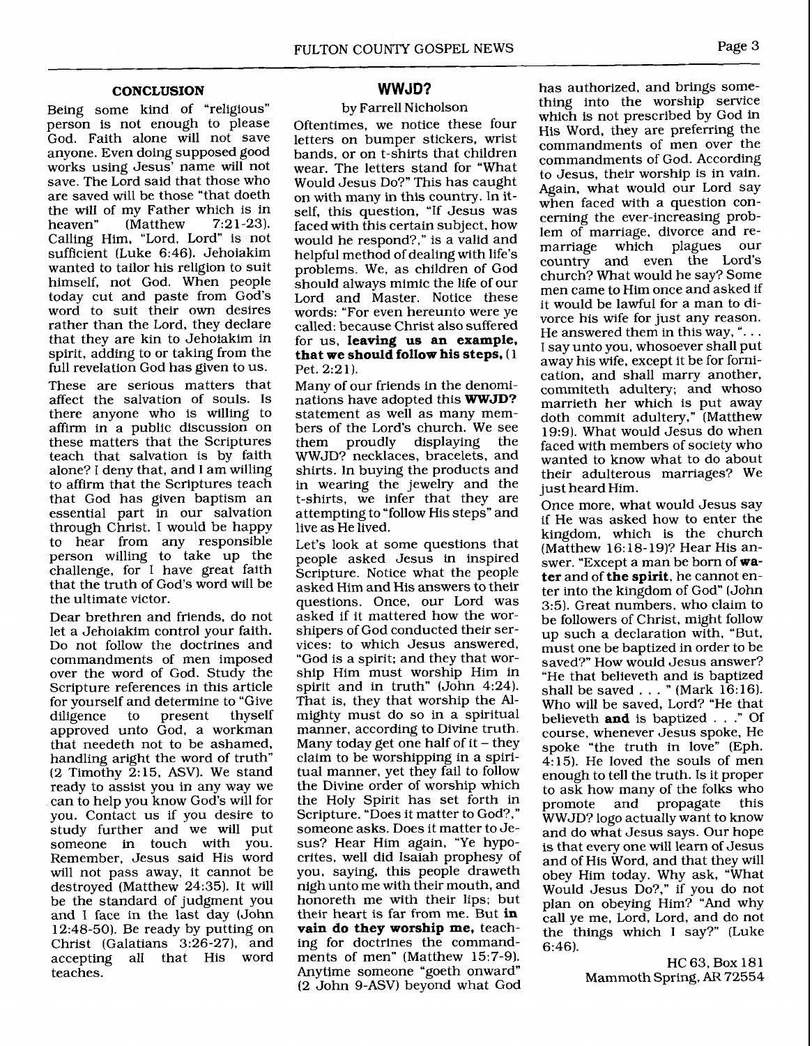### **CONCLUSION**

Being some kind of "religious" person is not enough to please God. Faith alone will not save anyone. Even doing supposed good works using Jesus' name will not save. The Lord said that those who are saved will be those "that doeth the will of my Father which is in<br>heaven" (Matthew  $7:21-23$ ). (Matthew Calling Him, "Lord, Lord" is not sufficient (Luke 6:46). Jehoiakim wanted to tailor his religion to suit himself, not God. When people today cut and paste from God's word to suit their own desires rather than the Lord, they declare that they are kin to Jehoiakim in spirit, adding to or taking from the full revelation God has given to us.

These are serious matters that affect the salvation of souls. Is there anyone who is willing to affirm in a public discussion on these matters that the Scriptures teach that salvation is by faith alone? I deny that, and I am willing to affirm that the Scriptures teach that God has given baptism an essential part in our salvation through Christ. I would be happy to hear from any responsible person willing to take up the challenge, for I have great faith that the truth of God's word will be the ultimate victor.

Dear brethren and friends, do not let a Jehoiakim control your faith. Do not follow the doctrines and commandments of men imposed over the word of God. Study the Scripture references in this article for yourself and determine to "Give"<br>diligence to present thyself diligence to present approved unto God, a workman that needeth not to be ashamed, handling aright the word of truth" (2 Timothy  $2:15$ , ASV). We stand ready to assist you in any way we can to help you know God's will for you. Contact us if you desire to study further and we will put someone in touch with you. Remember, Jesus said His word will not pass away, it cannot be destroyed (Matthew 24:35). It will be the standard of judgment you and I face in the last day (John 12:48-50). Be ready by putting on Christ (Galatians 3:26-27), and<br>accepting all that His word accepting all that His teaches.

### **WWJD?**

### by Farrell Nicholson

Oftentimes, we notice these four letters on bumper stickers, wrist bands, or on t-shirts that children wear. The letters stand for "What Would Jesus Do?" This has caught on with many in this country. In itself, this question, "If Jesus was faced with this certain subject, how would he respond?," is a valid and helpful method of dealing with life's problems. We, as children of God should always mimic the life of our Lord and Master. Notice these words: "For even hereunto were ye called: because Christ also suffered for us, **leaving us an example, that we should follow his steps,** (1 Pet. 2:21).

Many of our friends in the denominations have adopted this **WWJD?**  statement as well as many members of the Lord's church. We see<br>them proudly displaying the displaying WWJD? necklaces, bracelets, and shirts. In buying the products and in wearing the jewelry and the t-shirts, we infer that they are attempting to "follow His steps" and live as He lived.

Let's look at some questions that people asked Jesus in inspired Scripture. Notice what the people asked Him and His answers to their questions. Once, our Lord was asked if it mattered how the worshipers of God conducted their services: to which Jesus answered, "God is a spirit; and they that worship Him must worship Him in spirit and in truth" (John 4:24). That is, they that worship the Almighty must do so in a spiritual manner, according to Divine truth. Many today get one half of  $it$  – they claim to be worshipping in a spiritual manner, yet they fail to follow the Divine order of worship which the Holy Spirit has set forth in Scripture. "Does it matter to God?," someone asks. Does it matter to Jesus? Hear Him again, "Ye hypocrites, well did Isaiah prophesy of you, saying, this people draweth nigh unto me with their mouth, and honoreth me with their lips; but their heart is far from me. But **in vain do they worship me,** teaching for doctrines the commandments of men" (Matthew 15:7-9). Anytime someone "goeth onward (2 John 9-ASV) beyond what God has authorized, and brings something into the worship service which is not prescribed by God in His Word, they are preferring the commandments of men over the commandments of God. According to Jesus, their worship is in vain. Again, what would our Lord say when faced with a question concerning the ever-increasing problem of marriage, divorce and re-<br>marriage which plagues our marriage which plagues our country and even the Lord's church? What would he say? Some men came to Him once and asked if it would be lawful for a man to divorce his wife for just any reason.<br>He answered them in this way, "... I say unto you, whosoever shall put away his wife, except it be for fornication, and shall marry another, commiteth adultery; and whoso marrieth her which is put away doth commit adultery," (Matthew 19:91. What would Jesus do when faced with members of society who wanted to know what to do about their adulterous marriages? We just heard Him.

Once more, what would Jesus say if He was asked how to enter the kingdom, which is the church (Matthew 16: 18- 19)? Hear His answer. "Except a man be born of **water** and of **the spirit,** he cannot enter into the kingdom of God" (John **3:51.** Great numbers, who claim to be followers of Christ, might follow up such a declaration with, "But, must one be baptized in order to be saved?" How would Jesus answer? "He that believeth and is baptized shall be saved  $\ldots$  " (Mark 16:16). Who will be saved, Lord? "He that believeth **and** is baptized . . ." Of course, whenever Jesus spoke, He spoke "the truth in love" (Eph. 4: 15). He loved the souls of men enough to tell the truth. Is it proper to ask how many of the folks who<br>promote and propagate this and propagate WWJD? logo actually want to know and do what Jesus says. Our hope is that every one will learn of Jesus and of His Word, and that they will obey Him today. Why ask, "What Would Jesus Do?," if you do not plan on obeying Him? "And why call ye me, Lord, Lord, and do not the things which I say?" (Luke 6:46).

> HC 63, Box 181 Mammoth Spring, AR 72554